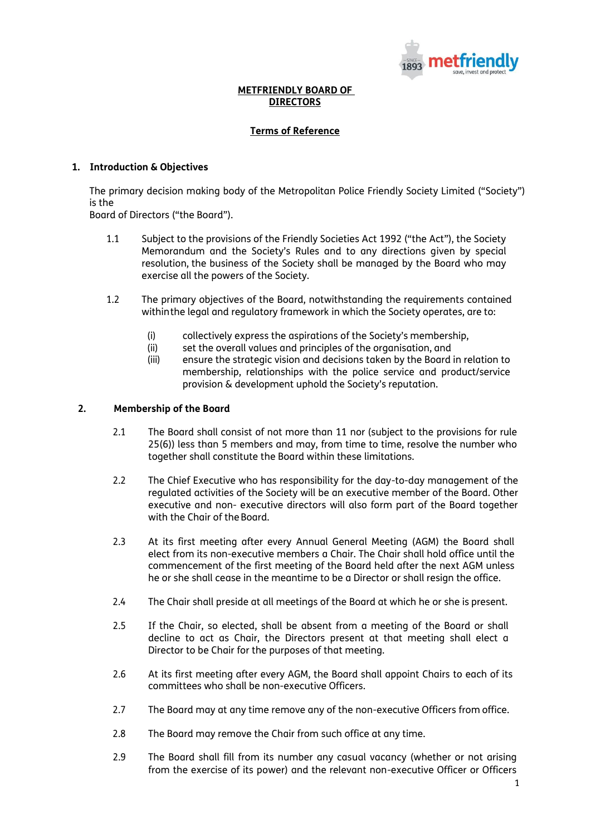

### **METFRIENDLY BOARD OF DIRECTORS**

### **Terms of Reference**

### **1. Introduction & Objectives**

The primary decision making body of the Metropolitan Police Friendly Society Limited ("Society") is the

Board of Directors ("the Board").

- 1.1 Subject to the provisions of the Friendly Societies Act 1992 ("the Act"), the Society Memorandum and the Society's Rules and to any directions given by special resolution, the business of the Society shall be managed by the Board who may exercise all the powers of the Society.
- 1.2 The primary objectives of the Board, notwithstanding the requirements contained withinthe legal and regulatory framework in which the Society operates, are to:
	- (i) collectively express the aspirations of the Society's membership,
	- (ii) set the overall values and principles of the organisation, and
	- (iii) ensure the strategic vision and decisions taken by the Board in relation to membership, relationships with the police service and product/service provision & development uphold the Society's reputation.

### **2. Membership of the Board**

- 2.1 The Board shall consist of not more than 11 nor (subject to the provisions for rule 25(6)) less than 5 members and may, from time to time, resolve the number who together shall constitute the Board within these limitations.
- 2.2 The Chief Executive who has responsibility for the day-to-day management of the regulated activities of the Society will be an executive member of the Board. Other executive and non- executive directors will also form part of the Board together with the Chair of the Board.
- 2.3 At its first meeting after every Annual General Meeting (AGM) the Board shall elect from its non-executive members a Chair. The Chair shall hold office until the commencement of the first meeting of the Board held after the next AGM unless he or she shall cease in the meantime to be a Director or shall resign the office.
- 2.4 The Chair shall preside at all meetings of the Board at which he or she is present.
- 2.5 If the Chair, so elected, shall be absent from a meeting of the Board or shall decline to act as Chair, the Directors present at that meeting shall elect a Director to be Chair for the purposes of that meeting.
- 2.6 At its first meeting after every AGM, the Board shall appoint Chairs to each of its committees who shall be non-executive Officers.
- 2.7 The Board may at any time remove any of the non-executive Officers from office.
- 2.8 The Board may remove the Chair from such office at any time.
- 2.9 The Board shall fill from its number any casual vacancy (whether or not arising from the exercise of its power) and the relevant non-executive Officer or Officers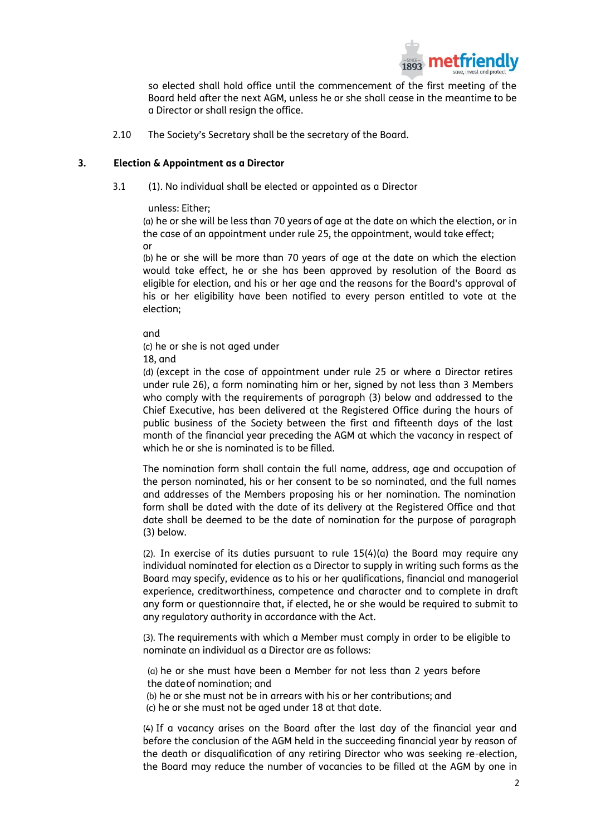

so elected shall hold office until the commencement of the first meeting of the Board held after the next AGM, unless he or she shall cease in the meantime to be a Director or shall resign the office.

2.10 The Society's Secretary shall be the secretary of the Board.

#### **3. Election & Appointment as a Director**

3.1 (1). No individual shall be elected or appointed as a Director

#### unless: Either;

(a) he or she will be less than 70 years of age at the date on which the election, or in the case of an appointment under rule 25, the appointment, would take effect; or

(b) he or she will be more than 70 years of age at the date on which the election would take effect, he or she has been approved by resolution of the Board as eligible for election, and his or her age and the reasons for the Board's approval of his or her eligibility have been notified to every person entitled to vote at the election;

and

(c) he or she is not aged under

18, and

(d) (except in the case of appointment under rule 25 or where a Director retires under rule 26), a form nominating him or her, signed by not less than 3 Members who comply with the requirements of paragraph (3) below and addressed to the Chief Executive, has been delivered at the Registered Office during the hours of public business of the Society between the first and fifteenth days of the last month of the financial year preceding the AGM at which the vacancy in respect of which he or she is nominated is to be filled.

The nomination form shall contain the full name, address, age and occupation of the person nominated, his or her consent to be so nominated, and the full names and addresses of the Members proposing his or her nomination. The nomination form shall be dated with the date of its delivery at the Registered Office and that date shall be deemed to be the date of nomination for the purpose of paragraph (3) below.

(2). In exercise of its duties pursuant to rule  $15(4)(a)$  the Board may require any individual nominated for election as a Director to supply in writing such forms as the Board may specify, evidence as to his or her qualifications, financial and managerial experience, creditworthiness, competence and character and to complete in draft any form or questionnaire that, if elected, he or she would be required to submit to any regulatory authority in accordance with the Act.

(3). The requirements with which a Member must comply in order to be eligible to nominate an individual as a Director are as follows:

(a) he or she must have been a Member for not less than 2 years before the dateof nomination; and

(b) he or she must not be in arrears with his or her contributions; and

(c) he or she must not be aged under 18 at that date.

(4) If a vacancy arises on the Board after the last day of the financial year and before the conclusion of the AGM held in the succeeding financial year by reason of the death or disqualification of any retiring Director who was seeking re-election, the Board may reduce the number of vacancies to be filled at the AGM by one in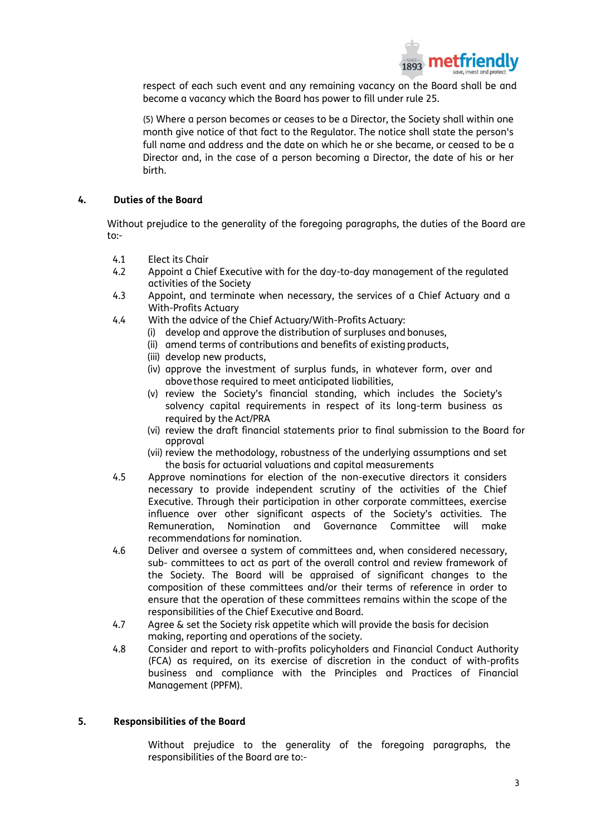

respect of each such event and any remaining vacancy on the Board shall be and become a vacancy which the Board has power to fill under rule 25.

(5) Where a person becomes or ceases to be a Director, the Society shall within one month give notice of that fact to the Regulator. The notice shall state the person's full name and address and the date on which he or she became, or ceased to be a Director and, in the case of a person becoming a Director, the date of his or her birth.

#### **4. Duties of the Board**

Without prejudice to the generality of the foregoing paragraphs, the duties of the Board are to:-

- 4.1 Elect its Chair
- 4.2 Appoint a Chief Executive with for the day-to-day management of the regulated activities of the Society
- 4.3 Appoint, and terminate when necessary, the services of a Chief Actuary and a With-Profits Actuary
- 4.4 With the advice of the Chief Actuary/With-Profits Actuary:
	- (i) develop and approve the distribution of surpluses and bonuses,
	- (ii) amend terms of contributions and benefits of existing products,
	- (iii) develop new products,
	- (iv) approve the investment of surplus funds, in whatever form, over and abovethose required to meet anticipated liabilities,
	- (v) review the Society's financial standing, which includes the Society's solvency capital requirements in respect of its long-term business as required by the Act/PRA
	- (vi) review the draft financial statements prior to final submission to the Board for approval
	- (vii) review the methodology, robustness of the underlying assumptions and set the basis for actuarial valuations and capital measurements
- 4.5 Approve nominations for election of the non-executive directors it considers necessary to provide independent scrutiny of the activities of the Chief Executive. Through their participation in other corporate committees, exercise influence over other significant aspects of the Society's activities. The Remuneration, Nomination and Governance Committee will make recommendations for nomination.
- 4.6 Deliver and oversee a system of committees and, when considered necessary, sub- committees to act as part of the overall control and review framework of the Society. The Board will be appraised of significant changes to the composition of these committees and/or their terms of reference in order to ensure that the operation of these committees remains within the scope of the responsibilities of the Chief Executive and Board.
- 4.7 Agree & set the Society risk appetite which will provide the basis for decision making, reporting and operations of the society.
- 4.8 Consider and report to with-profits policyholders and Financial Conduct Authority (FCA) as required, on its exercise of discretion in the conduct of with-profits business and compliance with the Principles and Practices of Financial Management (PPFM).

#### **5. Responsibilities of the Board**

Without prejudice to the generality of the foregoing paragraphs, the responsibilities of the Board are to:-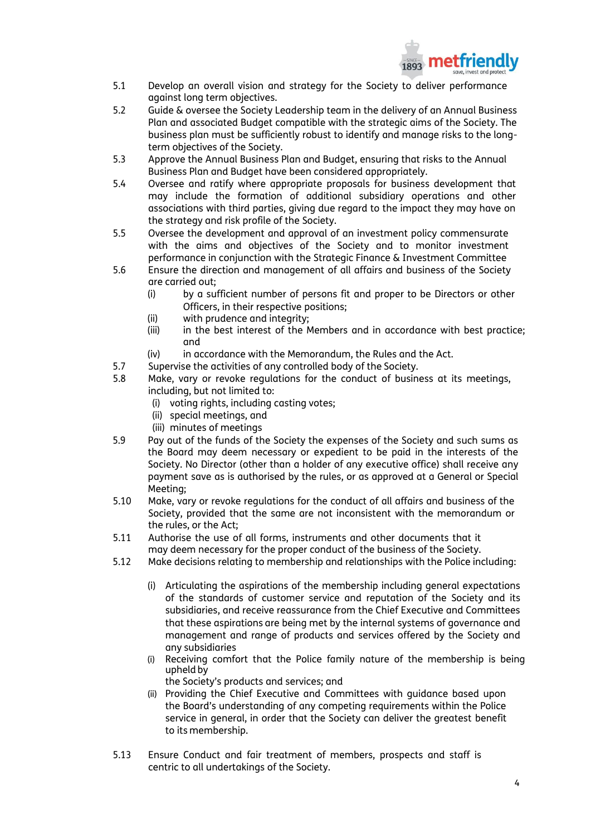

- 5.1 Develop an overall vision and strategy for the Society to deliver performance against long term objectives.
- 5.2 Guide & oversee the Society Leadership team in the delivery of an Annual Business Plan and associated Budget compatible with the strategic aims of the Society. The business plan must be sufficiently robust to identify and manage risks to the longterm objectives of the Society.
- 5.3 Approve the Annual Business Plan and Budget, ensuring that risks to the Annual Business Plan and Budget have been considered appropriately.
- 5.4 Oversee and ratify where appropriate proposals for business development that may include the formation of additional subsidiary operations and other associations with third parties, giving due regard to the impact they may have on the strategy and risk profile of the Society.
- 5.5 Oversee the development and approval of an investment policy commensurate with the aims and objectives of the Society and to monitor investment performance in conjunction with the Strategic Finance & Investment Committee
- 5.6 Ensure the direction and management of all affairs and business of the Society are carried out;
	- (i) by a sufficient number of persons fit and proper to be Directors or other Officers, in their respective positions;
	- (ii) with prudence and integrity;
	- (iii) in the best interest of the Members and in accordance with best practice; and
	- (iv) in accordance with the Memorandum, the Rules and the Act.
- 5.7 Supervise the activities of any controlled body of the Society.
- 5.8 Make, vary or revoke regulations for the conduct of business at its meetings, including, but not limited to:
	- (i) voting rights, including casting votes;
	- (ii) special meetings, and
	- (iii) minutes of meetings
- 5.9 Pay out of the funds of the Society the expenses of the Society and such sums as the Board may deem necessary or expedient to be paid in the interests of the Society. No Director (other than a holder of any executive office) shall receive any payment save as is authorised by the rules, or as approved at a General or Special Meeting;
- 5.10 Make, vary or revoke regulations for the conduct of all affairs and business of the Society, provided that the same are not inconsistent with the memorandum or the rules, or the Act;
- 5.11 Authorise the use of all forms, instruments and other documents that it may deem necessary for the proper conduct of the business of the Society.
- 5.12 Make decisions relating to membership and relationships with the Police including:
	- (i) Articulating the aspirations of the membership including general expectations of the standards of customer service and reputation of the Society and its subsidiaries, and receive reassurance from the Chief Executive and Committees that these aspirations are being met by the internal systems of governance and management and range of products and services offered by the Society and any subsidiaries
	- (i) Receiving comfort that the Police family nature of the membership is being upheldby
	- the Society's products and services; and (ii) Providing the Chief Executive and Committees with guidance based upon
	- the Board's understanding of any competing requirements within the Police service in general, in order that the Society can deliver the greatest benefit to its membership.
- 5.13 Ensure Conduct and fair treatment of members, prospects and staff is centric to all undertakings of the Society.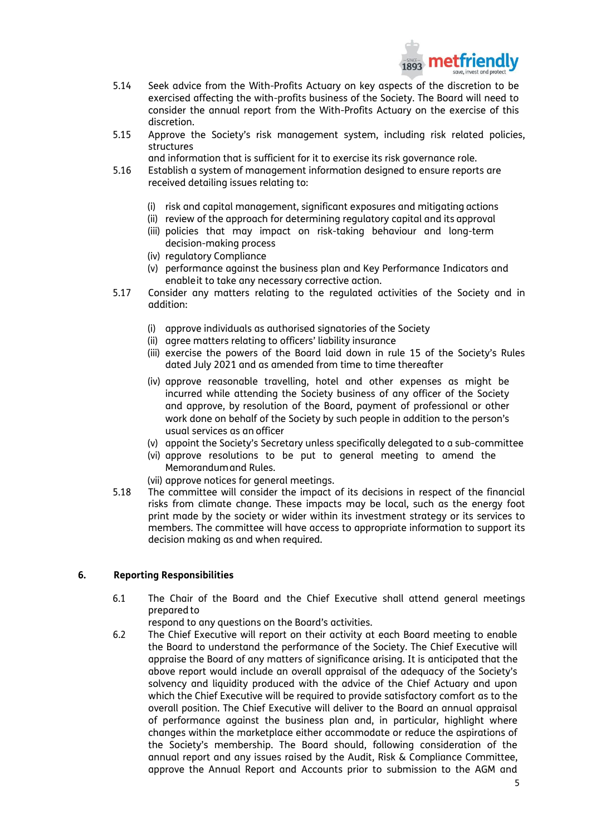

- 5.14 Seek advice from the With-Profits Actuary on key aspects of the discretion to be exercised affecting the with-profits business of the Society. The Board will need to consider the annual report from the With-Profits Actuary on the exercise of this discretion.
- 5.15 Approve the Society's risk management system, including risk related policies, structures
	- and information that is sufficient for it to exercise its risk governance role.
- 5.16 Establish a system of management information designed to ensure reports are received detailing issues relating to:
	- (i) risk and capital management, significant exposures and mitigating actions
	- (ii) review of the approach for determining regulatory capital and its approval
	- (iii) policies that may impact on risk-taking behaviour and long-term decision-making process
	- (iv) regulatory Compliance
	- (v) performance against the business plan and Key Performance Indicators and enableit to take any necessary corrective action.
- 5.17 Consider any matters relating to the regulated activities of the Society and in addition:
	- (i) approve individuals as authorised signatories of the Society
	- (ii) agree matters relating to officers' liability insurance
	- (iii) exercise the powers of the Board laid down in rule 15 of the Society's Rules dated July 2021 and as amended from time to time thereafter
	- (iv) approve reasonable travelling, hotel and other expenses as might be incurred while attending the Society business of any officer of the Society and approve, by resolution of the Board, payment of professional or other work done on behalf of the Society by such people in addition to the person's usual services as an officer
	- (v) appoint the Society's Secretary unless specifically delegated to a sub-committee
	- (vi) approve resolutions to be put to general meeting to amend the Memorandumand Rules.
	- (vii) approve notices for general meetings.
- 5.18 The committee will consider the impact of its decisions in respect of the financial risks from climate change. These impacts may be local, such as the energy foot print made by the society or wider within its investment strategy or its services to members. The committee will have access to appropriate information to support its decision making as and when required.

### **6. Reporting Responsibilities**

- 6.1 The Chair of the Board and the Chief Executive shall attend general meetings prepared to
	- respond to any questions on the Board's activities.
- 6.2 The Chief Executive will report on their activity at each Board meeting to enable the Board to understand the performance of the Society. The Chief Executive will appraise the Board of any matters of significance arising. It is anticipated that the above report would include an overall appraisal of the adequacy of the Society's solvency and liquidity produced with the advice of the Chief Actuary and upon which the Chief Executive will be required to provide satisfactory comfort as to the overall position. The Chief Executive will deliver to the Board an annual appraisal of performance against the business plan and, in particular, highlight where changes within the marketplace either accommodate or reduce the aspirations of the Society's membership. The Board should, following consideration of the annual report and any issues raised by the Audit, Risk & Compliance Committee, approve the Annual Report and Accounts prior to submission to the AGM and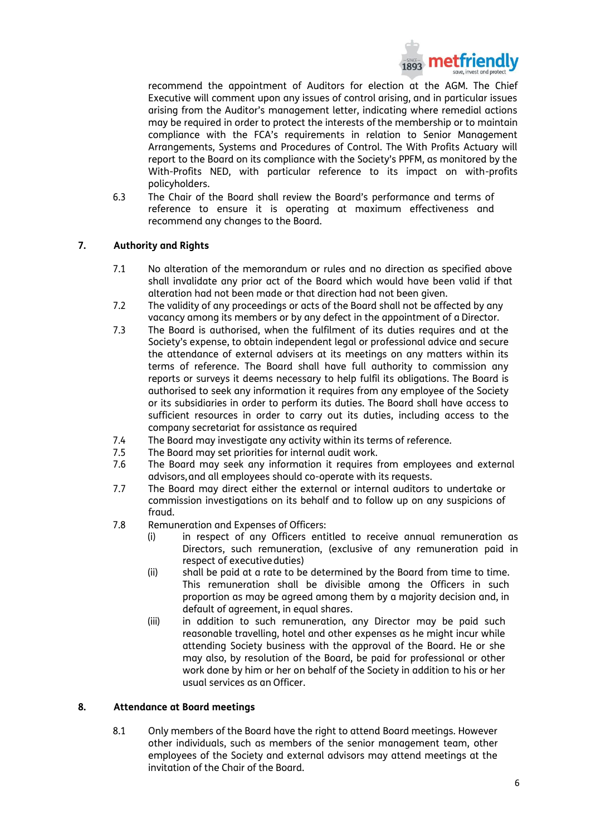

recommend the appointment of Auditors for election at the AGM. The Chief Executive will comment upon any issues of control arising, and in particular issues arising from the Auditor's management letter, indicating where remedial actions may be required in order to protect the interests of the membership or to maintain compliance with the FCA's requirements in relation to Senior Management Arrangements, Systems and Procedures of Control. The With Profits Actuary will report to the Board on its compliance with the Society's PPFM, as monitored by the With-Profits NED, with particular reference to its impact on with-profits policyholders.

6.3 The Chair of the Board shall review the Board's performance and terms of reference to ensure it is operating at maximum effectiveness and recommend any changes to the Board.

### **7. Authority and Rights**

- 7.1 No alteration of the memorandum or rules and no direction as specified above shall invalidate any prior act of the Board which would have been valid if that alteration had not been made or that direction had not been given.
- 7.2 The validity of any proceedings or acts of the Board shall not be affected by any vacancy among its members or by any defect in the appointment of a Director.
- 7.3 The Board is authorised, when the fulfilment of its duties requires and at the Society's expense, to obtain independent legal or professional advice and secure the attendance of external advisers at its meetings on any matters within its terms of reference. The Board shall have full authority to commission any reports or surveys it deems necessary to help fulfil its obligations. The Board is authorised to seek any information it requires from any employee of the Society or its subsidiaries in order to perform its duties. The Board shall have access to sufficient resources in order to carry out its duties, including access to the company secretariat for assistance as required
- 7.4 The Board may investigate any activity within its terms of reference.<br>7.5 The Board may set priorities for internal qudit work.
- The Board may set priorities for internal audit work.
- 7.6 The Board may seek any information it requires from employees and external advisors,and all employees should co-operate with its requests.
- 7.7 The Board may direct either the external or internal auditors to undertake or commission investigations on its behalf and to follow up on any suspicions of fraud.
- 7.8 Remuneration and Expenses of Officers:
	- (i) in respect of any Officers entitled to receive annual remuneration as Directors, such remuneration, (exclusive of any remuneration paid in respect of executive duties)
	- (ii) shall be paid at a rate to be determined by the Board from time to time. This remuneration shall be divisible among the Officers in such proportion as may be agreed among them by a majority decision and, in default of agreement, in equal shares.
	- (iii) in addition to such remuneration, any Director may be paid such reasonable travelling, hotel and other expenses as he might incur while attending Society business with the approval of the Board. He or she may also, by resolution of the Board, be paid for professional or other work done by him or her on behalf of the Society in addition to his or her usual services as an Officer.

#### **8. Attendance at Board meetings**

8.1 Only members of the Board have the right to attend Board meetings. However other individuals, such as members of the senior management team, other employees of the Society and external advisors may attend meetings at the invitation of the Chair of the Board.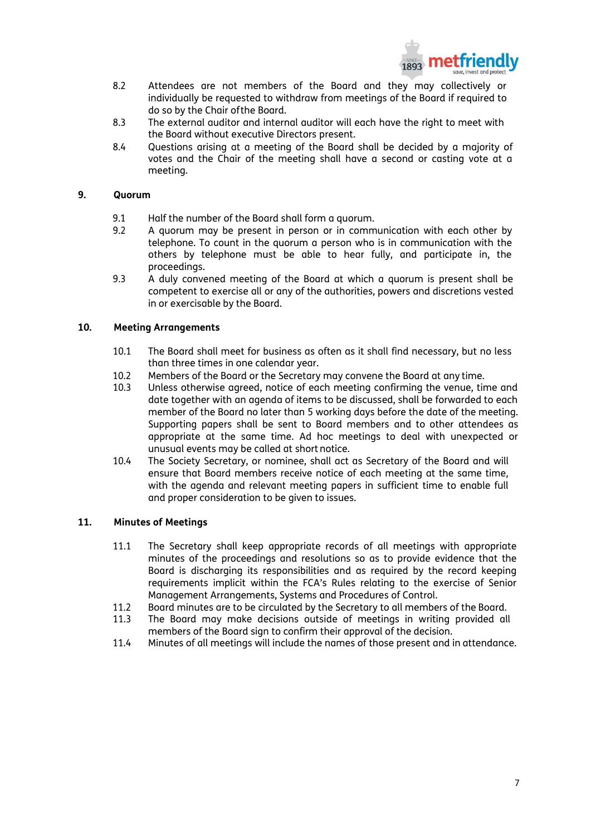

- 8.2 Attendees are not members of the Board and they may collectively or individually be requested to withdraw from meetings of the Board if required to do so by the Chair ofthe Board.
- 8.3 The external auditor and internal auditor will each have the right to meet with the Board without executive Directors present.
- 8.4 Questions arising at a meeting of the Board shall be decided by a majority of votes and the Chair of the meeting shall have a second or casting vote at a meeting.

#### **9. Quorum**

- 9.1 Half the number of the Board shall form a quorum.
- 9.2 A quorum may be present in person or in communication with each other by telephone. To count in the quorum a person who is in communication with the others by telephone must be able to hear fully, and participate in, the proceedings.
- 9.3 A duly convened meeting of the Board at which a quorum is present shall be competent to exercise all or any of the authorities, powers and discretions vested in or exercisable by the Board.

#### **10. Meeting Arrangements**

- 10.1 The Board shall meet for business as often as it shall find necessary, but no less than three times in one calendar year.
- 10.2 Members of the Board or the Secretary may convene the Board at any time.<br>10.3 Unless otherwise agreed, notice of each meeting confirming the venue, tin
- Unless otherwise agreed, notice of each meeting confirming the venue, time and date together with an agenda of items to be discussed, shall be forwarded to each member of the Board no later than 5 working days before the date of the meeting. Supporting papers shall be sent to Board members and to other attendees as appropriate at the same time. Ad hoc meetings to deal with unexpected or unusual events may be called at short notice.
- 10.4 The Society Secretary, or nominee, shall act as Secretary of the Board and will ensure that Board members receive notice of each meeting at the same time, with the agenda and relevant meeting papers in sufficient time to enable full and proper consideration to be given to issues.

#### **11. Minutes of Meetings**

- 11.1 The Secretary shall keep appropriate records of all meetings with appropriate minutes of the proceedings and resolutions so as to provide evidence that the Board is discharging its responsibilities and as required by the record keeping requirements implicit within the FCA's Rules relating to the exercise of Senior Management Arrangements, Systems and Procedures of Control.
- 11.2 Board minutes are to be circulated by the Secretary to all members of the Board.
- 11.3 The Board may make decisions outside of meetings in writing provided all members of the Board sign to confirm their approval of the decision.
- 11.4 Minutes of all meetings will include the names of those present and in attendance.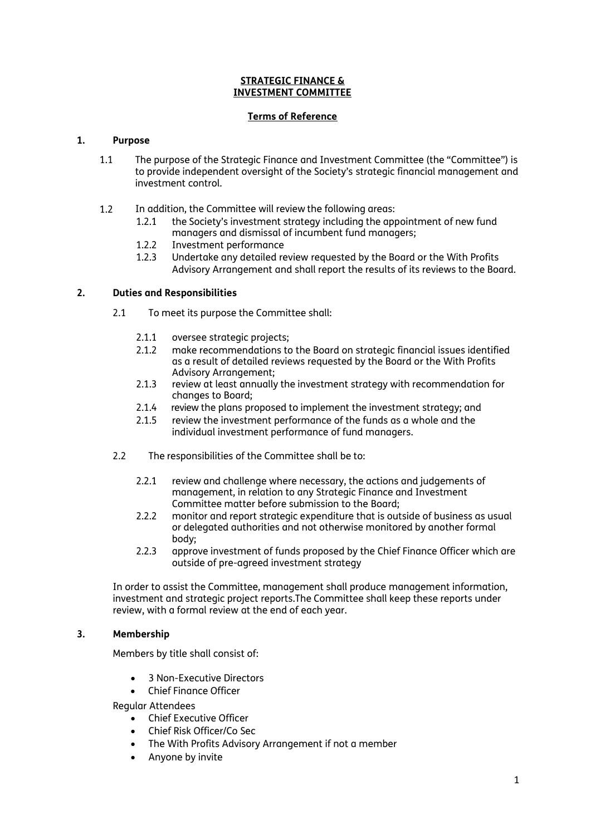### **STRATEGIC FINANCE & INVESTMENT COMMITTEE**

### **Terms of Reference**

### **1. Purpose**

- 1.1 The purpose of the Strategic Finance and Investment Committee (the "Committee") is to provide independent oversight of the Society's strategic financial management and investment control.
- 1.2 In addition, the Committee will review the following areas:
	- 1.2.1 the Society's investment strategy including the appointment of new fund managers and dismissal of incumbent fund managers;
	- 1.2.2 Investment performance
	- 1.2.3 Undertake any detailed review requested by the Board or the With Profits Advisory Arrangement and shall report the results of its reviews to the Board.

### **2. Duties and Responsibilities**

- 2.1 To meet its purpose the Committee shall:
	- 2.1.1 oversee strategic projects;
	- 2.1.2 make recommendations to the Board on strategic financial issues identified as a result of detailed reviews requested by the Board or the With Profits Advisory Arrangement;
	- 2.1.3 review at least annually the investment strategy with recommendation for changes to Board;
	- 2.1.4 review the plans proposed to implement the investment strategy; and
	- 2.1.5 review the investment performance of the funds as a whole and the individual investment performance of fund managers.
- 2.2 The responsibilities of the Committee shall be to:
	- 2.2.1 review and challenge where necessary, the actions and judgements of management, in relation to any Strategic Finance and Investment Committee matter before submission to the Board;
	- 2.2.2 monitor and report strategic expenditure that is outside of business as usual or delegated authorities and not otherwise monitored by another formal body;
	- 2.2.3 approve investment of funds proposed by the Chief Finance Officer which are outside of pre-agreed investment strategy

In order to assist the Committee, management shall produce management information, investment and strategic project reports.The Committee shall keep these reports under review, with a formal review at the end of each year.

### **3. Membership**

Members by title shall consist of:

- 3 Non-Executive Directors
- Chief Finance Officer

Regular Attendees

- Chief Executive Officer
- Chief Risk Officer/Co Sec
- The With Profits Advisory Arrangement if not a member
- Anyone by invite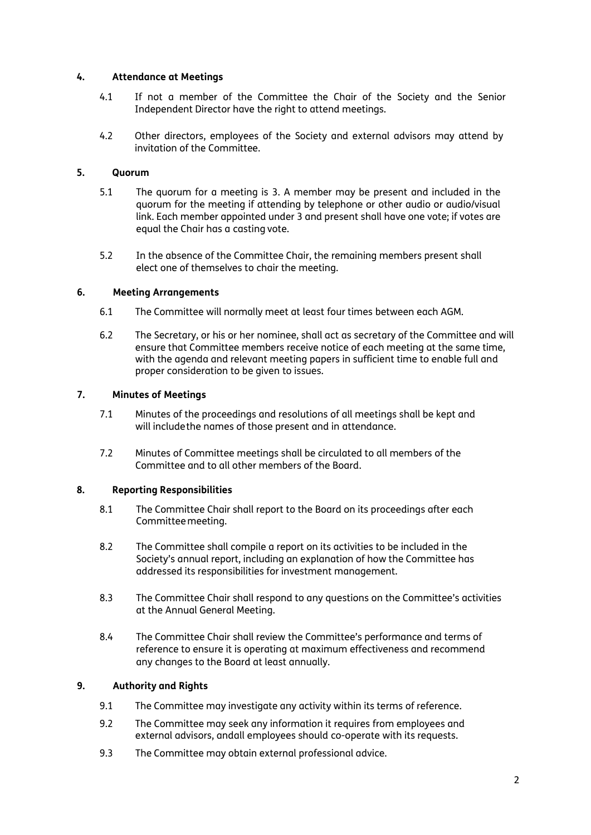### **4. Attendance at Meetings**

- 4.1 If not a member of the Committee the Chair of the Society and the Senior Independent Director have the right to attend meetings.
- 4.2 Other directors, employees of the Society and external advisors may attend by invitation of the Committee.

### **5. Quorum**

- 5.1 The quorum for a meeting is 3. A member may be present and included in the quorum for the meeting if attending by telephone or other audio or audio/visual link. Each member appointed under 3 and present shall have one vote; if votes are equal the Chair has a casting vote.
- 5.2 In the absence of the Committee Chair, the remaining members present shall elect one of themselves to chair the meeting.

### **6. Meeting Arrangements**

- 6.1 The Committee will normally meet at least four times between each AGM.
- 6.2 The Secretary, or his or her nominee, shall act as secretary of the Committee and will ensure that Committee members receive notice of each meeting at the same time, with the agenda and relevant meeting papers in sufficient time to enable full and proper consideration to be given to issues.

### **7. Minutes of Meetings**

- 7.1 Minutes of the proceedings and resolutions of all meetings shall be kept and will includethe names of those present and in attendance.
- 7.2 Minutes of Committee meetings shall be circulated to all members of the Committee and to all other members of the Board.

### **8. Reporting Responsibilities**

- 8.1 The Committee Chair shall report to the Board on its proceedings after each Committeemeeting.
- 8.2 The Committee shall compile a report on its activities to be included in the Society's annual report, including an explanation of how the Committee has addressed its responsibilities for investment management.
- 8.3 The Committee Chair shall respond to any questions on the Committee's activities at the Annual General Meeting.
- 8.4 The Committee Chair shall review the Committee's performance and terms of reference to ensure it is operating at maximum effectiveness and recommend any changes to the Board at least annually.

### **9. Authority and Rights**

- 9.1 The Committee may investigate any activity within its terms of reference.
- 9.2 The Committee may seek any information it requires from employees and external advisors, andall employees should co-operate with its requests.
- 9.3 The Committee may obtain external professional advice.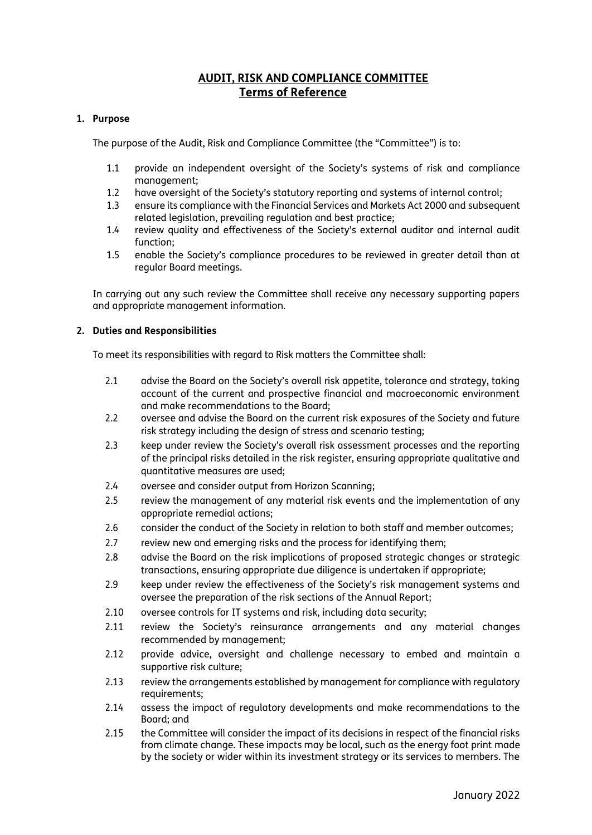## **AUDIT, RISK AND COMPLIANCE COMMITTEE Terms of Reference**

### **1. Purpose**

The purpose of the Audit, Risk and Compliance Committee (the "Committee") is to:

- 1.1 provide an independent oversight of the Society's systems of risk and compliance management;
- 1.2 have oversight of the Society's statutory reporting and systems of internal control;
- 1.3 ensure its compliance with the Financial Services and Markets Act 2000 and subsequent related legislation, prevailing regulation and best practice;
- 1.4 review quality and effectiveness of the Society's external auditor and internal audit function;
- 1.5 enable the Society's compliance procedures to be reviewed in greater detail than at regular Board meetings.

In carrying out any such review the Committee shall receive any necessary supporting papers and appropriate management information.

### **2. Duties and Responsibilities**

To meet its responsibilities with regard to Risk matters the Committee shall:

- 2.1 advise the Board on the Society's overall risk appetite, tolerance and strategy, taking account of the current and prospective financial and macroeconomic environment and make recommendations to the Board;
- 2.2 oversee and advise the Board on the current risk exposures of the Society and future risk strategy including the design of stress and scenario testing;
- 2.3 keep under review the Society's overall risk assessment processes and the reporting of the principal risks detailed in the risk register, ensuring appropriate qualitative and quantitative measures are used;
- 2.4 oversee and consider output from Horizon Scanning;
- 2.5 review the management of any material risk events and the implementation of any appropriate remedial actions;
- 2.6 consider the conduct of the Society in relation to both staff and member outcomes;
- 2.7 review new and emerging risks and the process for identifying them;
- 2.8 advise the Board on the risk implications of proposed strategic changes or strategic transactions, ensuring appropriate due diligence is undertaken if appropriate;
- 2.9 keep under review the effectiveness of the Society's risk management systems and oversee the preparation of the risk sections of the Annual Report;
- 2.10 oversee controls for IT systems and risk, including data security;
- 2.11 review the Society's reinsurance arrangements and any material changes recommended by management;
- 2.12 provide advice, oversight and challenge necessary to embed and maintain a supportive risk culture;
- 2.13 review the arrangements established by management for compliance with regulatory requirements;
- 2.14 assess the impact of regulatory developments and make recommendations to the Board; and
- 2.15 the Committee will consider the impact of its decisions in respect of the financial risks from climate change. These impacts may be local, such as the energy foot print made by the society or wider within its investment strategy or its services to members. The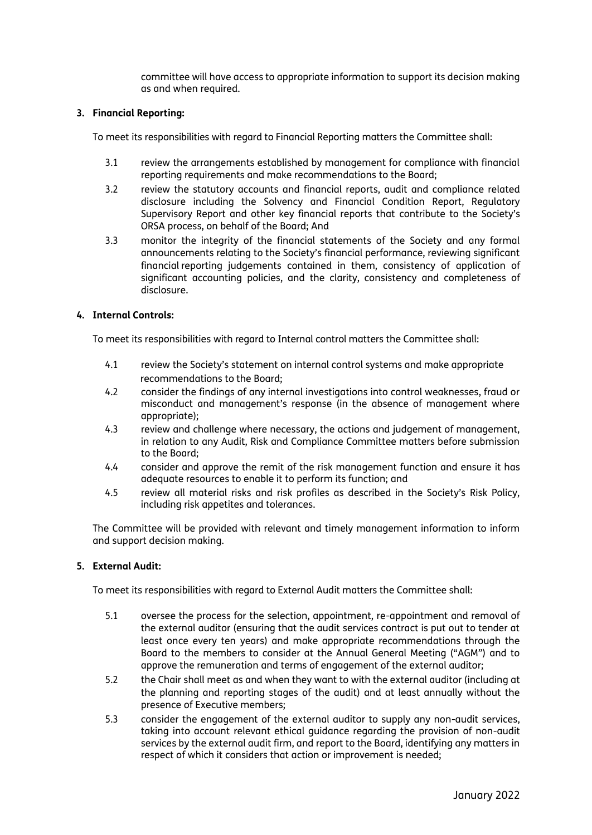committee will have access to appropriate information to support its decision making as and when required.

### **3. Financial Reporting:**

To meet its responsibilities with regard to Financial Reporting matters the Committee shall:

- 3.1 review the arrangements established by management for compliance with financial reporting requirements and make recommendations to the Board;
- 3.2 review the statutory accounts and financial reports, audit and compliance related disclosure including the Solvency and Financial Condition Report, Regulatory Supervisory Report and other key financial reports that contribute to the Society's ORSA process, on behalf of the Board; And
- 3.3 monitor the integrity of the financial statements of the Society and any formal announcements relating to the Society's financial performance, reviewing significant financial reporting judgements contained in them, consistency of application of significant accounting policies, and the clarity, consistency and completeness of disclosure.

### **4. Internal Controls:**

To meet its responsibilities with regard to Internal control matters the Committee shall:

- 4.1 review the Society's statement on internal control systems and make appropriate recommendations to the Board;
- 4.2 consider the findings of any internal investigations into control weaknesses, fraud or misconduct and management's response (in the absence of management where appropriate);
- 4.3 review and challenge where necessary, the actions and judgement of management, in relation to any Audit, Risk and Compliance Committee matters before submission to the Board;
- 4.4 consider and approve the remit of the risk management function and ensure it has adequate resources to enable it to perform its function; and
- 4.5 review all material risks and risk profiles as described in the Society's Risk Policy, including risk appetites and tolerances.

The Committee will be provided with relevant and timely management information to inform and support decision making.

### **5. External Audit:**

To meet its responsibilities with regard to External Audit matters the Committee shall:

- 5.1 oversee the process for the selection, appointment, re-appointment and removal of the external auditor (ensuring that the audit services contract is put out to tender at least once every ten years) and make appropriate recommendations through the Board to the members to consider at the Annual General Meeting ("AGM") and to approve the remuneration and terms of engagement of the external auditor;
- 5.2 the Chair shall meet as and when they want to with the external auditor (including at the planning and reporting stages of the audit) and at least annually without the presence of Executive members;
- 5.3 consider the engagement of the external auditor to supply any non-audit services, taking into account relevant ethical guidance regarding the provision of non-audit services by the external audit firm, and report to the Board, identifying any matters in respect of which it considers that action or improvement is needed;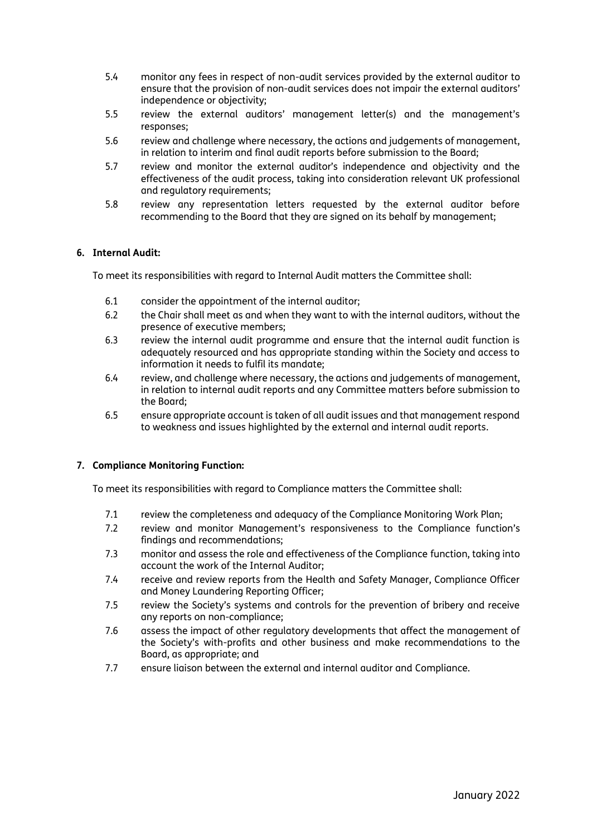- 5.4 monitor any fees in respect of non-audit services provided by the external auditor to ensure that the provision of non-audit services does not impair the external auditors' independence or objectivity;
- 5.5 review the external auditors' management letter(s) and the management's responses;
- 5.6 review and challenge where necessary, the actions and judgements of management, in relation to interim and final audit reports before submission to the Board;
- 5.7 review and monitor the external auditor's independence and objectivity and the effectiveness of the audit process, taking into consideration relevant UK professional and regulatory requirements;
- 5.8 review any representation letters requested by the external auditor before recommending to the Board that they are signed on its behalf by management;

### **6. Internal Audit:**

To meet its responsibilities with regard to Internal Audit matters the Committee shall:

- 6.1 consider the appointment of the internal auditor;
- 6.2 the Chair shall meet as and when they want to with the internal auditors, without the presence of executive members;
- 6.3 review the internal audit programme and ensure that the internal audit function is adequately resourced and has appropriate standing within the Society and access to information it needs to fulfil its mandate;
- 6.4 review, and challenge where necessary, the actions and judgements of management, in relation to internal audit reports and any Committee matters before submission to the Board;
- 6.5 ensure appropriate account is taken of all audit issues and that management respond to weakness and issues highlighted by the external and internal audit reports.

### **7. Compliance Monitoring Function:**

To meet its responsibilities with regard to Compliance matters the Committee shall:

- 7.1 review the completeness and adequacy of the Compliance Monitoring Work Plan;
- 7.2 review and monitor Management's responsiveness to the Compliance function's findings and recommendations;
- 7.3 monitor and assess the role and effectiveness of the Compliance function, taking into account the work of the Internal Auditor;
- 7.4 receive and review reports from the Health and Safety Manager, Compliance Officer and Money Laundering Reporting Officer;
- 7.5 review the Society's systems and controls for the prevention of bribery and receive any reports on non-compliance;
- 7.6 assess the impact of other regulatory developments that affect the management of the Society's with-profits and other business and make recommendations to the Board, as appropriate; and
- 7.7 ensure liaison between the external and internal auditor and Compliance.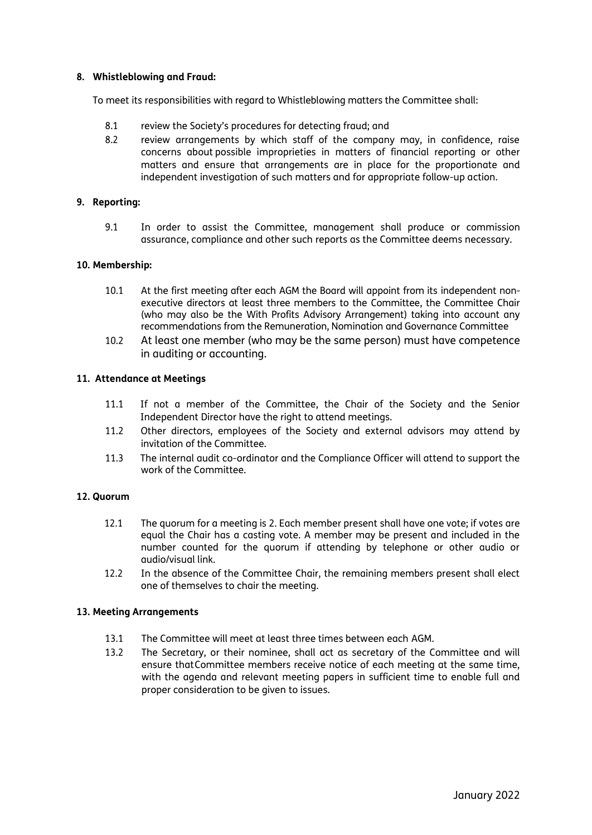### **8. Whistleblowing and Fraud:**

To meet its responsibilities with regard to Whistleblowing matters the Committee shall:

- 8.1 review the Society's procedures for detecting fraud; and
- 8.2 review arrangements by which staff of the company may, in confidence, raise concerns about possible improprieties in matters of financial reporting or other matters and ensure that arrangements are in place for the proportionate and independent investigation of such matters and for appropriate follow-up action.

### **9. Reporting:**

9.1 In order to assist the Committee, management shall produce or commission assurance, compliance and other such reports as the Committee deems necessary.

### **10. Membership:**

- 10.1 At the first meeting after each AGM the Board will appoint from its independent nonexecutive directors at least three members to the Committee, the Committee Chair (who may also be the With Profits Advisory Arrangement) taking into account any recommendations from the Remuneration, Nomination and Governance Committee
- 10.2 At least one member (who may be the same person) must have competence in auditing or accounting.

### **11. Attendance at Meetings**

- 11.1 If not a member of the Committee, the Chair of the Society and the Senior Independent Director have the right to attend meetings.
- 11.2 Other directors, employees of the Society and external advisors may attend by invitation of the Committee.
- 11.3 The internal audit co-ordinator and the Compliance Officer will attend to support the work of the Committee.

### **12. Quorum**

- 12.1 The quorum for a meeting is 2. Each member present shall have one vote; if votes are equal the Chair has a casting vote. A member may be present and included in the number counted for the quorum if attending by telephone or other audio or audio/visual link.
- 12.2 In the absence of the Committee Chair, the remaining members present shall elect one of themselves to chair the meeting.

### **13. Meeting Arrangements**

- 13.1 The Committee will meet at least three times between each AGM.
- 13.2 The Secretary, or their nominee, shall act as secretary of the Committee and will ensure that Committee members receive notice of each meeting at the same time, with the agenda and relevant meeting papers in sufficient time to enable full and proper consideration to be given to issues.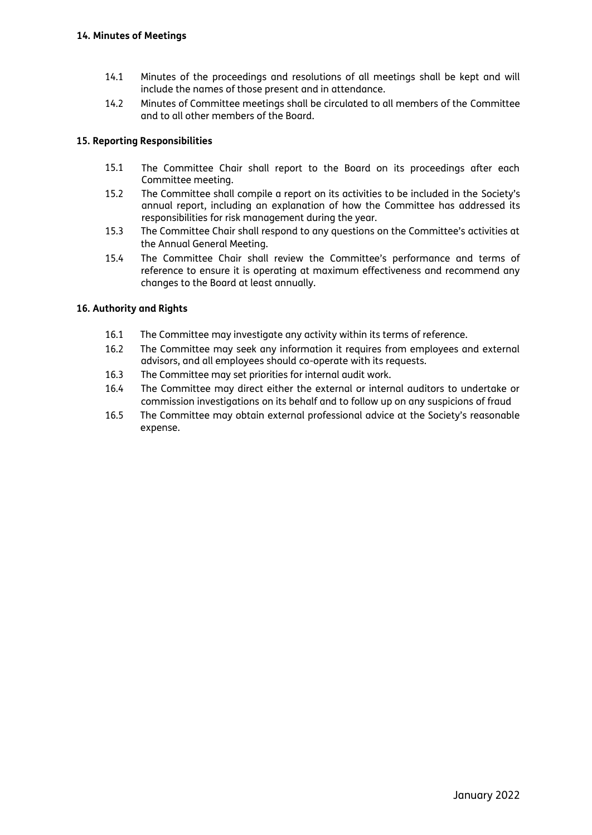- 14.1 Minutes of the proceedings and resolutions of all meetings shall be kept and will include the names of those present and in attendance.
- 14.2 Minutes of Committee meetings shall be circulated to all members of the Committee and to all other members of the Board.

### **15. Reporting Responsibilities**

- 15.1 The Committee Chair shall report to the Board on its proceedings after each Committee meeting.
- 15.2 The Committee shall compile a report on its activities to be included in the Society's annual report, including an explanation of how the Committee has addressed its responsibilities for risk management during the year.
- 15.3 The Committee Chair shall respond to any questions on the Committee's activities at the Annual General Meeting.
- 15.4 The Committee Chair shall review the Committee's performance and terms of reference to ensure it is operating at maximum effectiveness and recommend any changes to the Board at least annually.

### **16. Authority and Rights**

- 16.1 The Committee may investigate any activity within its terms of reference.
- 16.2 The Committee may seek any information it requires from employees and external advisors, and all employees should co-operate with its requests.
- 16.3 The Committee may set priorities for internal audit work.
- 16.4 The Committee may direct either the external or internal auditors to undertake or commission investigations on its behalf and to follow up on any suspicions of fraud
- 16.5 The Committee may obtain external professional advice at the Society's reasonable expense.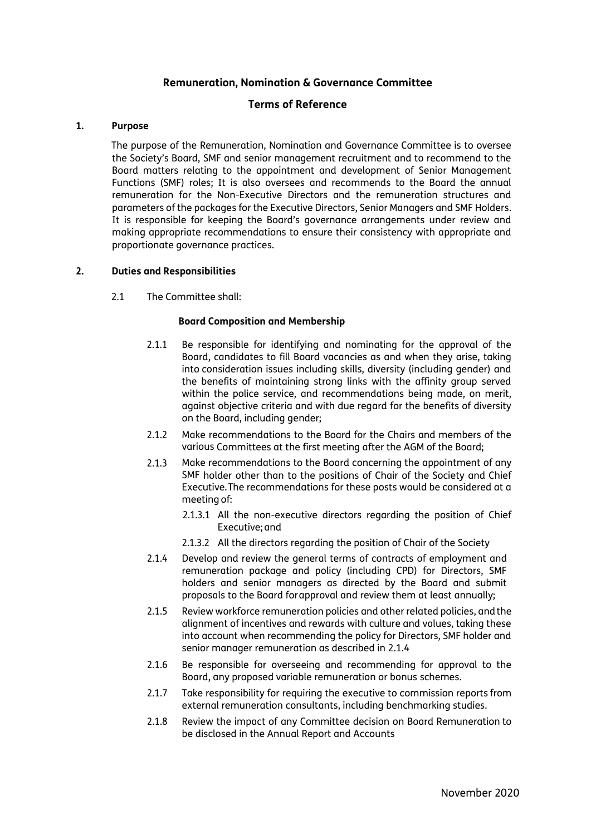### **Remuneration, Nomination & Governance Committee**

### **Terms of Reference**

#### **1. Purpose**

The purpose of the Remuneration, Nomination and Governance Committee is to oversee the Society's Board, SMF and senior management recruitment and to recommend to the Board matters relating to the appointment and development of Senior Management Functions (SMF) roles; It is also oversees and recommends to the Board the annual remuneration for the Non-Executive Directors and the remuneration structures and parameters of the packages for the Executive Directors, Senior Managers and SMF Holders. It is responsible for keeping the Board's governance arrangements under review and making appropriate recommendations to ensure their consistency with appropriate and proportionate governance practices.

#### **2. Duties and Responsibilities**

2.1 The Committee shall:

#### **Board Composition and Membership**

- 2.1.1 Be responsible for identifying and nominating for the approval of the Board, candidates to fill Board vacancies as and when they arise, taking into consideration issues including skills, diversity (including gender) and the benefits of maintaining strong links with the affinity group served within the police service, and recommendations being made, on merit, against objective criteria and with due regard for the benefits of diversity on the Board, including gender;
- 2.1.2 Make recommendations to the Board for the Chairs and members of the various Committees at the first meeting after the AGM of the Board;
- 2.1.3 Make recommendations to the Board concerning the appointment of any SMF holder other than to the positions of Chair of the Society and Chief Executive.The recommendations for these posts would be considered at a meeting of:
	- 2.1.3.1 All the non-executive directors regarding the position of Chief Executive;and
	- 2.1.3.2 All the directors regarding the position of Chair of the Society
- 2.1.4 Develop and review the general terms of contracts of employment and remuneration package and policy (including CPD) for Directors, SMF holders and senior managers as directed by the Board and submit proposals to the Board forapproval and review them at least annually;
- 2.1.5 Review workforce remuneration policies and other related policies, andthe alignment of incentives and rewards with culture and values, taking these into account when recommending the policy for Directors, SMF holder and senior manager remuneration as described in 2.1.4
- 2.1.6 Be responsible for overseeing and recommending for approval to the Board, any proposed variable remuneration or bonus schemes.
- 2.1.7 Take responsibility for requiring the executive to commission reports from external remuneration consultants, including benchmarking studies.
- 2.1.8 Review the impact of any Committee decision on Board Remuneration to be disclosed in the Annual Report and Accounts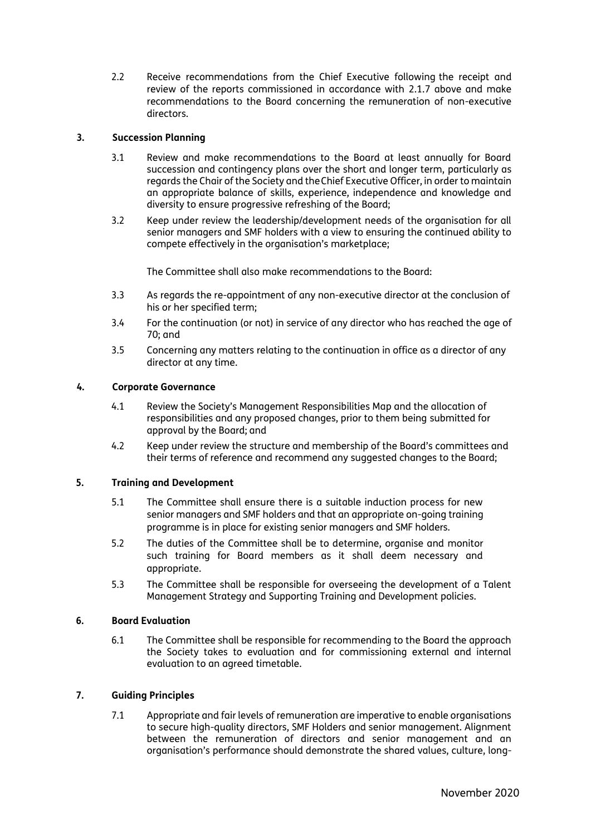2.2 Receive recommendations from the Chief Executive following the receipt and review of the reports commissioned in accordance with 2.1.7 above and make recommendations to the Board concerning the remuneration of non-executive directors.

### **3. Succession Planning**

- 3.1 Review and make recommendations to the Board at least annually for Board succession and contingency plans over the short and longer term, particularly as regards the Chair of the Society and theChief Executive Officer, in order to maintain an appropriate balance of skills, experience, independence and knowledge and diversity to ensure progressive refreshing of the Board;
- 3.2 Keep under review the leadership/development needs of the organisation for all senior managers and SMF holders with a view to ensuring the continued ability to compete effectively in the organisation's marketplace;

The Committee shall also make recommendations to the Board:

- 3.3 As regards the re-appointment of any non-executive director at the conclusion of his or her specified term;
- 3.4 For the continuation (or not) in service of any director who has reached the age of 70; and
- 3.5 Concerning any matters relating to the continuation in office as a director of any director at any time.

### **4. Corporate Governance**

- 4.1 Review the Society's Management Responsibilities Map and the allocation of responsibilities and any proposed changes, prior to them being submitted for approval by the Board; and
- 4.2 Keep under review the structure and membership of the Board's committees and their terms of reference and recommend any suggested changes to the Board;

### **5. Training and Development**

- 5.1 The Committee shall ensure there is a suitable induction process for new senior managers and SMF holders and that an appropriate on-going training programme is in place for existing senior managers and SMF holders.
- 5.2 The duties of the Committee shall be to determine, organise and monitor such training for Board members as it shall deem necessary and appropriate.
- 5.3 The Committee shall be responsible for overseeing the development of a Talent Management Strategy and Supporting Training and Development policies.

### **6. Board Evaluation**

6.1 The Committee shall be responsible for recommending to the Board the approach the Society takes to evaluation and for commissioning external and internal evaluation to an agreed timetable.

### **7. Guiding Principles**

7.1 Appropriate and fair levels of remuneration are imperative to enable organisations to secure high-quality directors, SMF Holders and senior management. Alignment between the remuneration of directors and senior management and an organisation's performance should demonstrate the shared values, culture, long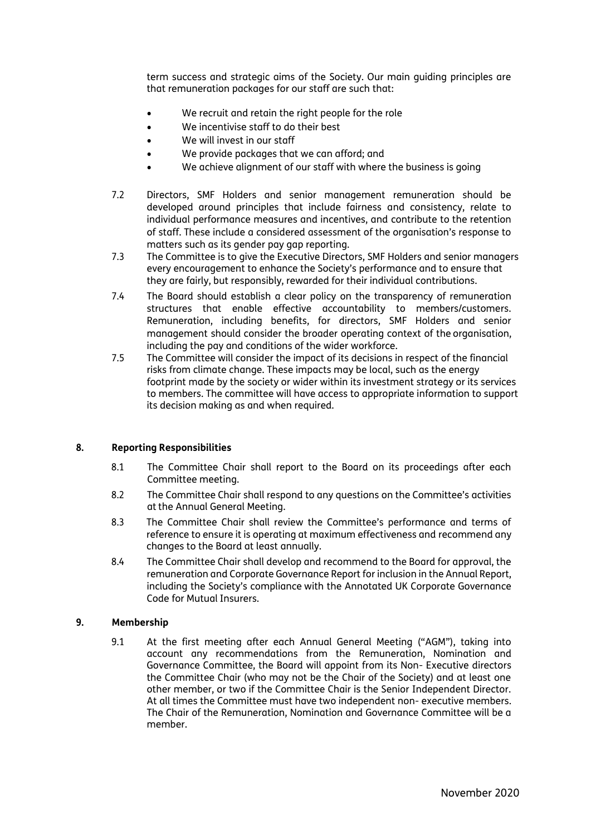term success and strategic aims of the Society. Our main guiding principles are that remuneration packages for our staff are such that:

- We recruit and retain the right people for the role
- We incentivise staff to do their best
- We will invest in our staff
- We provide packages that we can afford; and
- We achieve alignment of our staff with where the business is going
- 7.2 Directors, SMF Holders and senior management remuneration should be developed around principles that include fairness and consistency, relate to individual performance measures and incentives, and contribute to the retention of staff. These include a considered assessment of the organisation's response to matters such as its gender pay gap reporting.
- 7.3 The Committee is to give the Executive Directors, SMF Holders and senior managers every encouragement to enhance the Society's performance and to ensure that they are fairly, but responsibly, rewarded for their individual contributions.
- 7.4 The Board should establish a clear policy on the transparency of remuneration structures that enable effective accountability to members/customers. Remuneration, including benefits, for directors, SMF Holders and senior management should consider the broader operating context of the organisation, including the pay and conditions of the wider workforce.
- 7.5 The Committee will consider the impact of its decisions in respect of the financial risks from climate change. These impacts may be local, such as the energy footprint made by the society or wider within its investment strategy or its services to members. The committee will have access to appropriate information to support its decision making as and when required.

### **8. Reporting Responsibilities**

- 8.1 The Committee Chair shall report to the Board on its proceedings after each Committee meeting.
- 8.2 The Committee Chair shall respond to any questions on the Committee's activities at the Annual General Meeting.
- 8.3 The Committee Chair shall review the Committee's performance and terms of reference to ensure it is operating at maximum effectiveness and recommend any changes to the Board at least annually.
- 8.4 The Committee Chair shall develop and recommend to the Board for approval, the remuneration and Corporate Governance Report for inclusion in the Annual Report, including the Society's compliance with the Annotated UK Corporate Governance Code for Mutual Insurers.

#### **9. Membership**

9.1 At the first meeting after each Annual General Meeting ("AGM"), taking into account any recommendations from the Remuneration, Nomination and Governance Committee, the Board will appoint from its Non- Executive directors the Committee Chair (who may not be the Chair of the Society) and at least one other member, or two if the Committee Chair is the Senior Independent Director. At all times the Committee must have two independent non- executive members. The Chair of the Remuneration, Nomination and Governance Committee will be a member.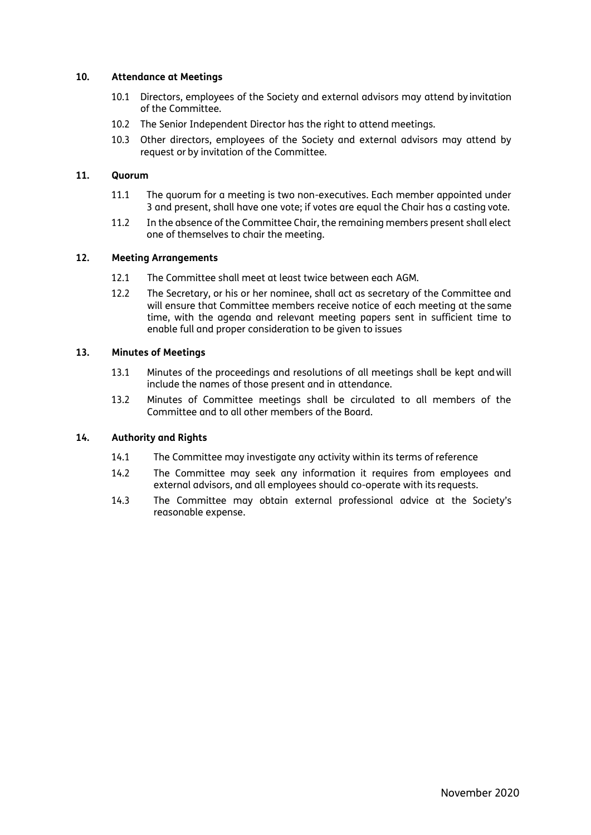### **10. Attendance at Meetings**

- 10.1 Directors, employees of the Society and external advisors may attend by invitation of the Committee.
- 10.2 The Senior Independent Director has the right to attend meetings.
- 10.3 Other directors, employees of the Society and external advisors may attend by request or by invitation of the Committee.

#### **11. Quorum**

- 11.1 The quorum for a meeting is two non-executives. Each member appointed under 3 and present, shall have one vote; if votes are equal the Chair has a casting vote.
- 11.2 In the absence of the Committee Chair, the remaining members present shall elect one of themselves to chair the meeting.

#### **12. Meeting Arrangements**

- 12.1 The Committee shall meet at least twice between each AGM.
- 12.2 The Secretary, or his or her nominee, shall act as secretary of the Committee and will ensure that Committee members receive notice of each meeting at the same time, with the agenda and relevant meeting papers sent in sufficient time to enable full and proper consideration to be given to issues

#### **13. Minutes of Meetings**

- 13.1 Minutes of the proceedings and resolutions of all meetings shall be kept andwill include the names of those present and in attendance.
- 13.2 Minutes of Committee meetings shall be circulated to all members of the Committee and to all other members of the Board.

#### **14. Authority and Rights**

- 14.1 The Committee may investigate any activity within its terms of reference
- 14.2 The Committee may seek any information it requires from employees and external advisors, and all employees should co-operate with its requests.
- 14.3 The Committee may obtain external professional advice at the Society's reasonable expense.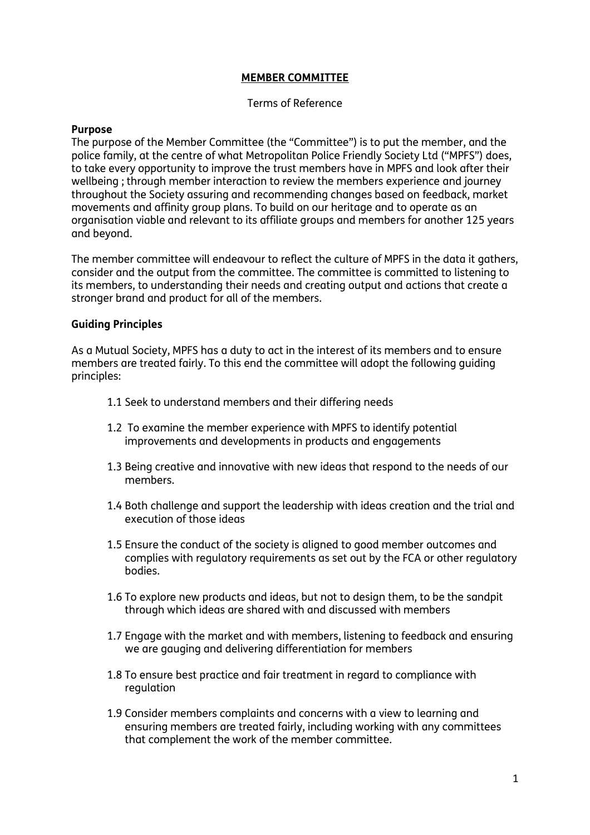## **MEMBER COMMITTEE**

## Terms of Reference

## **Purpose**

The purpose of the Member Committee (the "Committee") is to put the member, and the police family, at the centre of what Metropolitan Police Friendly Society Ltd ("MPFS") does, to take every opportunity to improve the trust members have in MPFS and look after their wellbeing ; through member interaction to review the members experience and journey throughout the Society assuring and recommending changes based on feedback, market movements and affinity group plans. To build on our heritage and to operate as an organisation viable and relevant to its affiliate groups and members for another 125 years and beyond.

The member committee will endeavour to reflect the culture of MPFS in the data it gathers, consider and the output from the committee. The committee is committed to listening to its members, to understanding their needs and creating output and actions that create a stronger brand and product for all of the members.

## **Guiding Principles**

As a Mutual Society, MPFS has a duty to act in the interest of its members and to ensure members are treated fairly. To this end the committee will adopt the following guiding principles:

- 1.1 Seek to understand members and their differing needs
- 1.2 To examine the member experience with MPFS to identify potential improvements and developments in products and engagements
- 1.3 Being creative and innovative with new ideas that respond to the needs of our members.
- 1.4 Both challenge and support the leadership with ideas creation and the trial and execution of those ideas
- 1.5 Ensure the conduct of the society is aligned to good member outcomes and complies with regulatory requirements as set out by the FCA or other regulatory bodies.
- 1.6 To explore new products and ideas, but not to design them, to be the sandpit through which ideas are shared with and discussed with members
- 1.7 Engage with the market and with members, listening to feedback and ensuring we are gauging and delivering differentiation for members
- 1.8 To ensure best practice and fair treatment in regard to compliance with regulation
- 1.9 Consider members complaints and concerns with a view to learning and ensuring members are treated fairly, including working with any committees that complement the work of the member committee.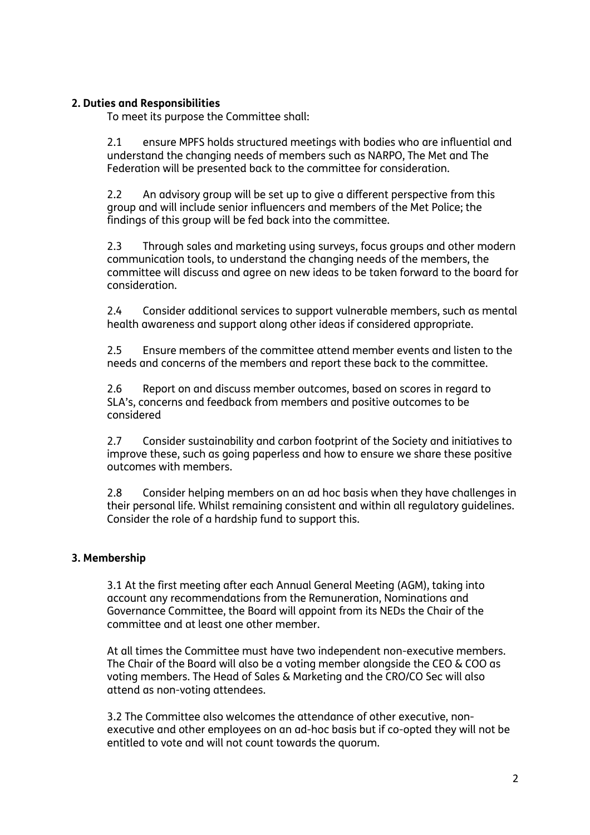## **2. Duties and Responsibilities**

To meet its purpose the Committee shall:

2.1 ensure MPFS holds structured meetings with bodies who are influential and understand the changing needs of members such as NARPO, The Met and The Federation will be presented back to the committee for consideration.

2.2 An advisory group will be set up to give a different perspective from this group and will include senior influencers and members of the Met Police; the findings of this group will be fed back into the committee.

2.3 Through sales and marketing using surveys, focus groups and other modern communication tools, to understand the changing needs of the members, the committee will discuss and agree on new ideas to be taken forward to the board for consideration.

2.4 Consider additional services to support vulnerable members, such as mental health awareness and support along other ideas if considered appropriate.

2.5 Ensure members of the committee attend member events and listen to the needs and concerns of the members and report these back to the committee.

2.6 Report on and discuss member outcomes, based on scores in regard to SLA's, concerns and feedback from members and positive outcomes to be considered

2.7 Consider sustainability and carbon footprint of the Society and initiatives to improve these, such as going paperless and how to ensure we share these positive outcomes with members.

2.8 Consider helping members on an ad hoc basis when they have challenges in their personal life. Whilst remaining consistent and within all regulatory guidelines. Consider the role of a hardship fund to support this.

## **3. Membership**

3.1 At the first meeting after each Annual General Meeting (AGM), taking into account any recommendations from the Remuneration, Nominations and Governance Committee, the Board will appoint from its NEDs the Chair of the committee and at least one other member.

At all times the Committee must have two independent non-executive members. The Chair of the Board will also be a voting member alongside the CEO & COO as voting members. The Head of Sales & Marketing and the CRO/CO Sec will also attend as non-voting attendees.

3.2 The Committee also welcomes the attendance of other executive, nonexecutive and other employees on an ad-hoc basis but if co-opted they will not be entitled to vote and will not count towards the quorum.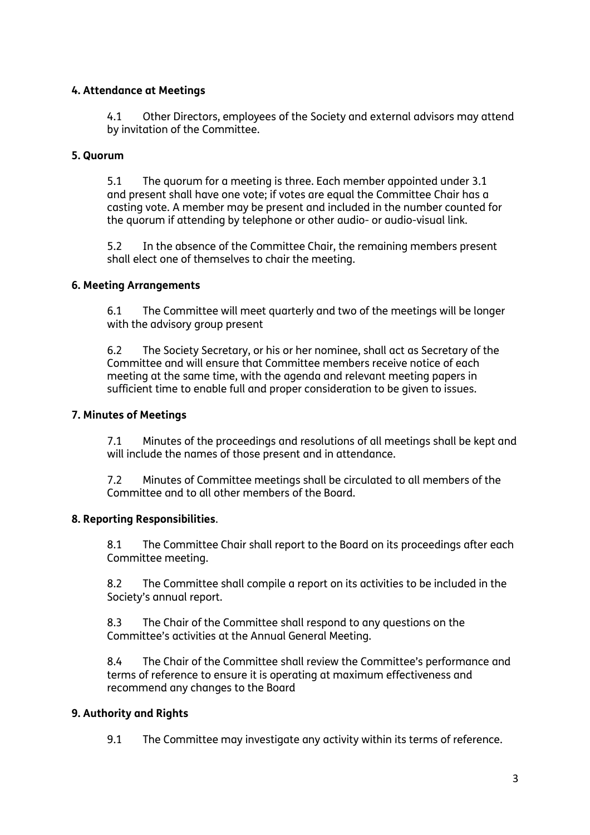## **4. Attendance at Meetings**

4.1 Other Directors, employees of the Society and external advisors may attend by invitation of the Committee.

## **5. Quorum**

5.1 The quorum for a meeting is three. Each member appointed under 3.1 and present shall have one vote; if votes are equal the Committee Chair has a casting vote. A member may be present and included in the number counted for the quorum if attending by telephone or other audio- or audio-visual link.

5.2 In the absence of the Committee Chair, the remaining members present shall elect one of themselves to chair the meeting.

## **6. Meeting Arrangements**

6.1 The Committee will meet quarterly and two of the meetings will be longer with the advisory group present

6.2 The Society Secretary, or his or her nominee, shall act as Secretary of the Committee and will ensure that Committee members receive notice of each meeting at the same time, with the agenda and relevant meeting papers in sufficient time to enable full and proper consideration to be given to issues.

## **7. Minutes of Meetings**

7.1 Minutes of the proceedings and resolutions of all meetings shall be kept and will include the names of those present and in attendance.

7.2 Minutes of Committee meetings shall be circulated to all members of the Committee and to all other members of the Board.

## **8. Reporting Responsibilities**.

8.1 The Committee Chair shall report to the Board on its proceedings after each Committee meeting.

8.2 The Committee shall compile a report on its activities to be included in the Society's annual report.

8.3 The Chair of the Committee shall respond to any questions on the Committee's activities at the Annual General Meeting.

8.4 The Chair of the Committee shall review the Committee's performance and terms of reference to ensure it is operating at maximum effectiveness and recommend any changes to the Board

## **9. Authority and Rights**

9.1 The Committee may investigate any activity within its terms of reference.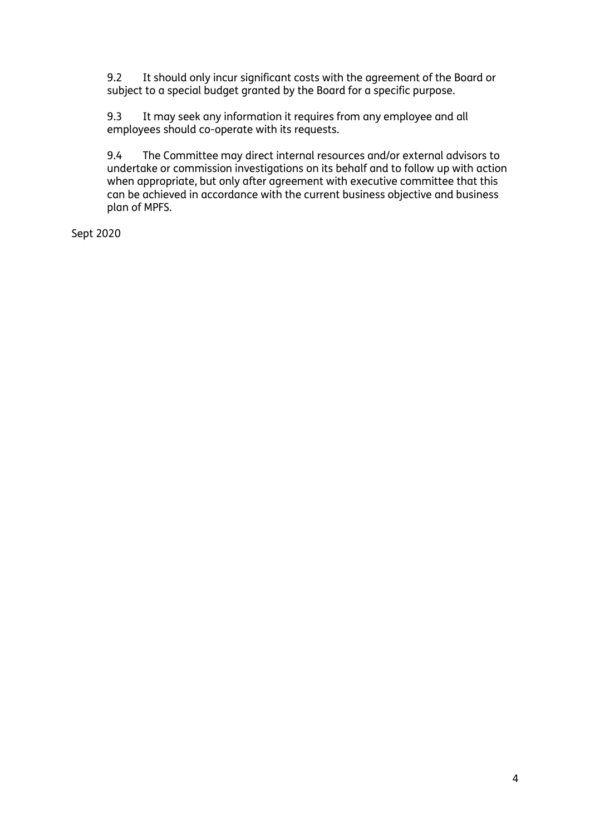9.2 It should only incur significant costs with the agreement of the Board or subject to a special budget granted by the Board for a specific purpose.

9.3 It may seek any information it requires from any employee and all employees should co-operate with its requests.

9.4 The Committee may direct internal resources and/or external advisors to undertake or commission investigations on its behalf and to follow up with action when appropriate, but only after agreement with executive committee that this can be achieved in accordance with the current business objective and business plan of MPFS.

Sept 2020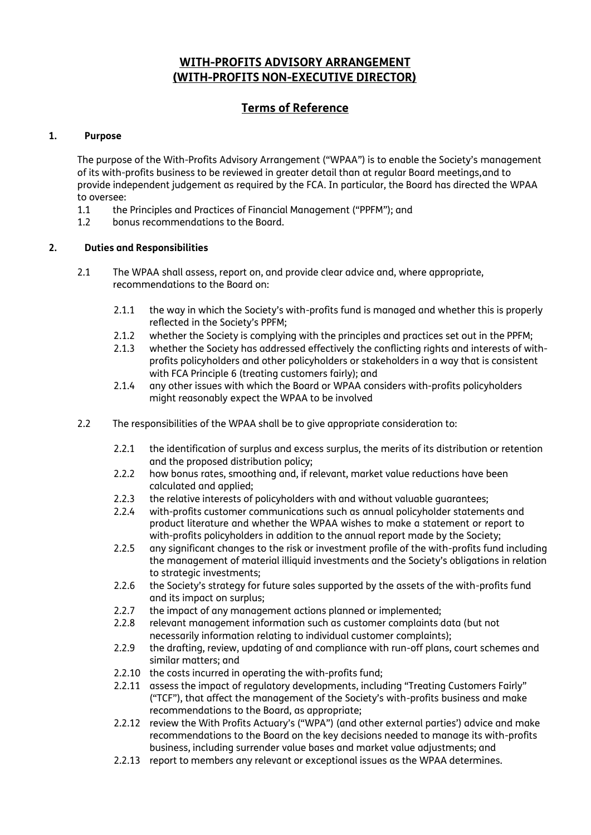# **WITH-PROFITS ADVISORY ARRANGEMENT (WITH-PROFITS NON-EXECUTIVE DIRECTOR)**

# **Terms of Reference**

### **1. Purpose**

The purpose of the With-Profits Advisory Arrangement ("WPAA") is to enable the Society's management of its with-profits business to be reviewed in greater detail than at regular Board meetings,and to provide independent judgement as required by the FCA. In particular, the Board has directed the WPAA to oversee:

- 1.1 the Principles and Practices of Financial Management ("PPFM"); and
- 1.2 bonus recommendations to the Board.

### **2. Duties and Responsibilities**

- 2.1 The WPAA shall assess, report on, and provide clear advice and, where appropriate, recommendations to the Board on:
	- 2.1.1 the way in which the Society's with-profits fund is managed and whether this is properly reflected in the Society's PPFM;
	- 2.1.2 whether the Society is complying with the principles and practices set out in the PPFM;
	- 2.1.3 whether the Society has addressed effectively the conflicting rights and interests of withprofits policyholders and other policyholders or stakeholders in a way that is consistent with FCA Principle 6 (treating customers fairly); and
	- 2.1.4 any other issues with which the Board or WPAA considers with-profits policyholders might reasonably expect the WPAA to be involved
- 2.2 The responsibilities of the WPAA shall be to give appropriate consideration to:
	- 2.2.1 the identification of surplus and excess surplus, the merits of its distribution or retention and the proposed distribution policy;
	- 2.2.2 how bonus rates, smoothing and, if relevant, market value reductions have been calculated and applied;
	- 2.2.3 the relative interests of policyholders with and without valuable guarantees;
	- 2.2.4 with-profits customer communications such as annual policyholder statements and product literature and whether the WPAA wishes to make a statement or report to with-profits policyholders in addition to the annual report made by the Society;
	- 2.2.5 any significant changes to the risk or investment profile of the with-profits fund including the management of material illiquid investments and the Society's obligations in relation to strategic investments;
	- 2.2.6 the Society's strategy for future sales supported by the assets of the with-profits fund and its impact on surplus;
	- 2.2.7 the impact of any management actions planned or implemented;
	- 2.2.8 relevant management information such as customer complaints data (but not necessarily information relating to individual customer complaints);
	- 2.2.9 the drafting, review, updating of and compliance with run-off plans, court schemes and similar matters; and
	- 2.2.10 the costs incurred in operating the with-profits fund;
	- 2.2.11 assess the impact of regulatory developments, including "Treating Customers Fairly" ("TCF"), that affect the management of the Society's with-profits business and make recommendations to the Board, as appropriate;
	- 2.2.12 review the With Profits Actuary's ("WPA") (and other external parties') advice and make recommendations to the Board on the key decisions needed to manage its with-profits business, including surrender value bases and market value adjustments; and
	- 2.2.13 report to members any relevant or exceptional issues as the WPAA determines.